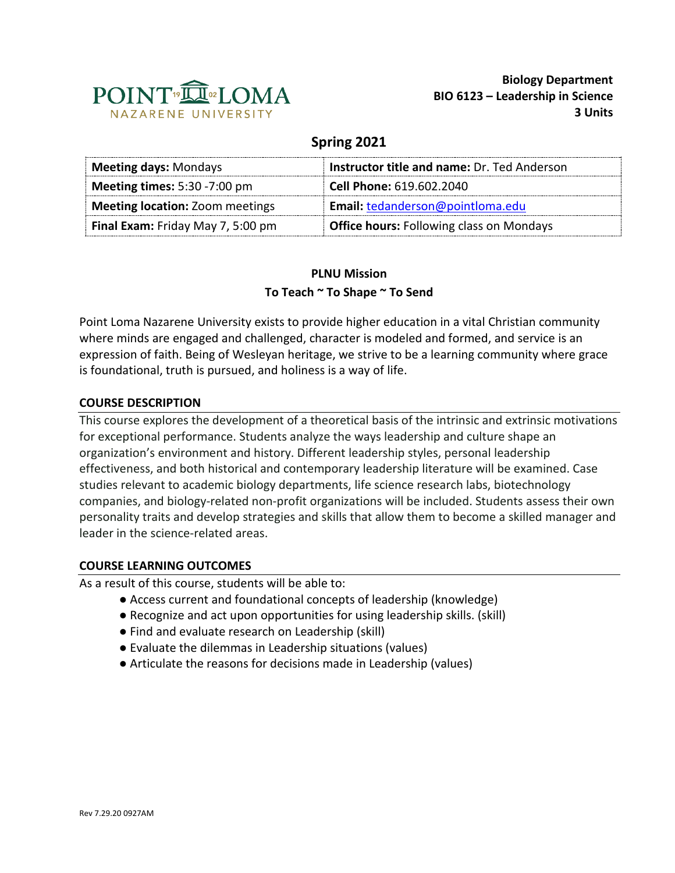

### **Spring 2021**

| <b>Meeting days: Mondays</b>           | Instructor title and name: Dr. Ted Anderson     |
|----------------------------------------|-------------------------------------------------|
| <b>Meeting times: 5:30 -7:00 pm</b>    | Cell Phone: 619.602.2040                        |
| <b>Meeting location: Zoom meetings</b> | Email: tedanderson@pointloma.edu                |
| Final Exam: Friday May 7, 5:00 pm      | <b>Office hours: Following class on Mondays</b> |

# **PLNU Mission To Teach ~ To Shape ~ To Send**

Point Loma Nazarene University exists to provide higher education in a vital Christian community where minds are engaged and challenged, character is modeled and formed, and service is an expression of faith. Being of Wesleyan heritage, we strive to be a learning community where grace is foundational, truth is pursued, and holiness is a way of life.

### **COURSE DESCRIPTION**

This course explores the development of a theoretical basis of the intrinsic and extrinsic motivations for exceptional performance. Students analyze the ways leadership and culture shape an organization's environment and history. Different leadership styles, personal leadership effectiveness, and both historical and contemporary leadership literature will be examined. Case studies relevant to academic biology departments, life science research labs, biotechnology companies, and biology-related non-profit organizations will be included. Students assess their own personality traits and develop strategies and skills that allow them to become a skilled manager and leader in the science-related areas.

#### **COURSE LEARNING OUTCOMES**

As a result of this course, students will be able to:

- Access current and foundational concepts of leadership (knowledge)
- Recognize and act upon opportunities for using leadership skills. (skill)
- Find and evaluate research on Leadership (skill)
- Evaluate the dilemmas in Leadership situations (values)
- Articulate the reasons for decisions made in Leadership (values)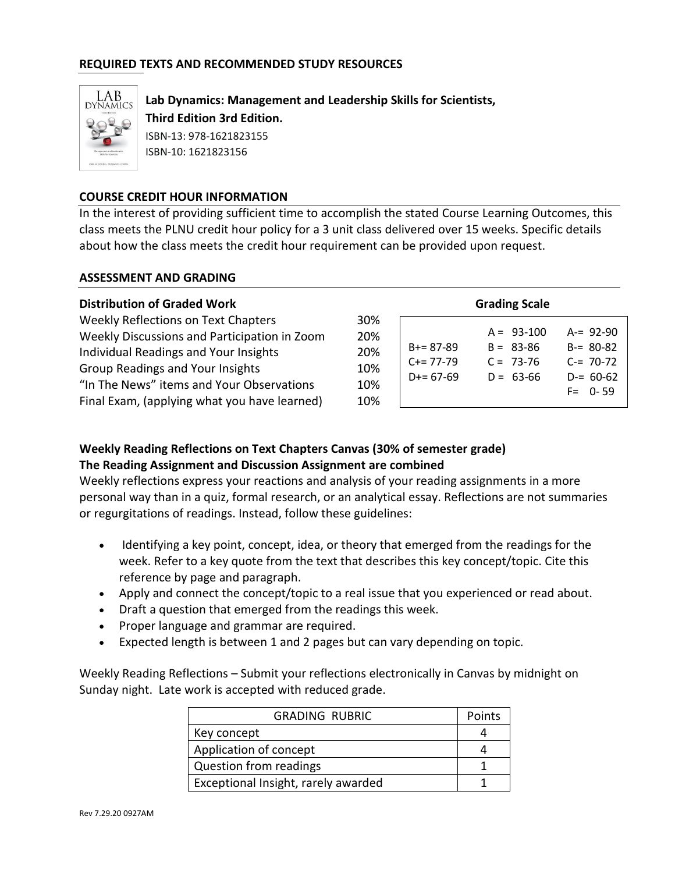#### **REQUIRED TEXTS AND RECOMMENDED STUDY RESOURCES**



**Lab Dynamics: Management and Leadership Skills for Scientists, Third Edition 3rd Edition.**  ISBN-13: 978-1621823155 ISBN-10: 1621823156

#### **COURSE CREDIT HOUR INFORMATION**

In the interest of providing sufficient time to accomplish the stated Course Learning Outcomes, this class meets the PLNU credit hour policy for a 3 unit class delivered over 15 weeks. Specific details about how the class meets the credit hour requirement can be provided upon request.

#### **ASSESSMENT AND GRADING**

| <b>Distribution of Graded Work</b>                                                                                                                                                                                                                            | <b>Grading Scale</b>                                                                                                                                                                                                          |
|---------------------------------------------------------------------------------------------------------------------------------------------------------------------------------------------------------------------------------------------------------------|-------------------------------------------------------------------------------------------------------------------------------------------------------------------------------------------------------------------------------|
| Weekly Reflections on Text Chapters<br>Weekly Discussions and Participation in Zoom<br>Individual Readings and Your Insights<br>Group Readings and Your Insights<br>"In The News" items and Your Observations<br>Final Exam, (applying what you have learned) | 30%<br>$A = 93-100$<br>$A = 92-90$<br>20%<br>$B = 80-82$<br>$B = 83 - 86$<br>$B+=87-89$<br>20%<br>$C = 70-72$<br>$C = 73-76$<br>$C+= 77-79$<br>10%<br>$D = 63-66$<br>$D+= 67-69$<br>$D = 60-62$<br>10%<br>$F = 0 - 59$<br>10% |

### **Weekly Reading Reflections on Text Chapters Canvas (30% of semester grade) The Reading Assignment and Discussion Assignment are combined**

Weekly reflections express your reactions and analysis of your reading assignments in a more personal way than in a quiz, formal research, or an analytical essay. Reflections are not summaries or regurgitations of readings. Instead, follow these guidelines:

- Identifying a key point, concept, idea, or theory that emerged from the readings for the week. Refer to a key quote from the text that describes this key concept/topic. Cite this reference by page and paragraph.
- Apply and connect the concept/topic to a real issue that you experienced or read about.
- Draft a question that emerged from the readings this week.
- Proper language and grammar are required.
- Expected length is between 1 and 2 pages but can vary depending on topic.

Weekly Reading Reflections – Submit your reflections electronically in Canvas by midnight on Sunday night. Late work is accepted with reduced grade.

| <b>GRADING RUBRIC</b>               | Points |
|-------------------------------------|--------|
| Key concept                         |        |
| Application of concept              |        |
| <b>Question from readings</b>       |        |
| Exceptional Insight, rarely awarded |        |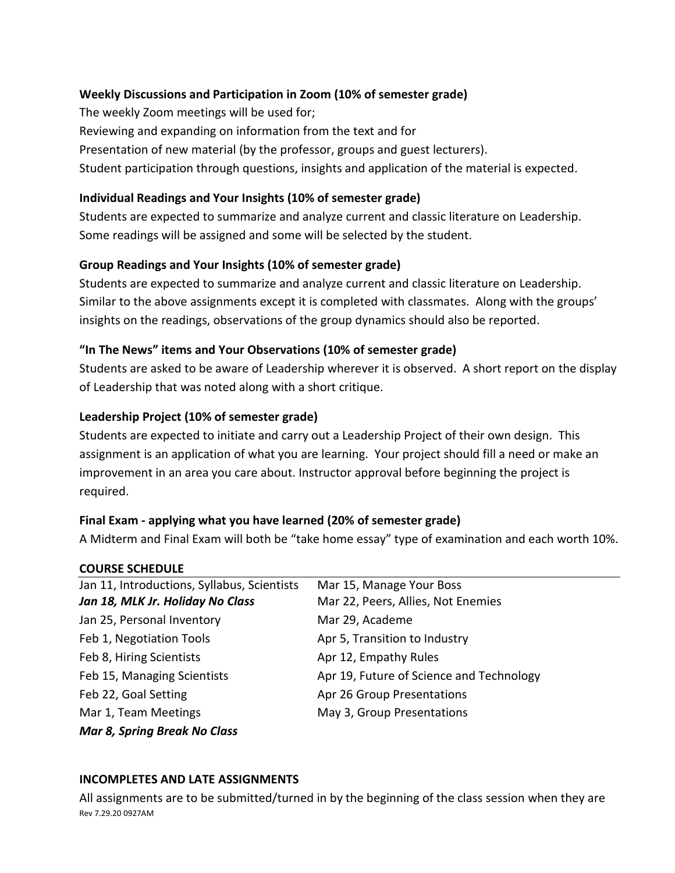### **Weekly Discussions and Participation in Zoom (10% of semester grade)**

The weekly Zoom meetings will be used for; Reviewing and expanding on information from the text and for Presentation of new material (by the professor, groups and guest lecturers). Student participation through questions, insights and application of the material is expected.

#### **Individual Readings and Your Insights (10% of semester grade)**

Students are expected to summarize and analyze current and classic literature on Leadership. Some readings will be assigned and some will be selected by the student.

## **Group Readings and Your Insights (10% of semester grade)**

Students are expected to summarize and analyze current and classic literature on Leadership. Similar to the above assignments except it is completed with classmates. Along with the groups' insights on the readings, observations of the group dynamics should also be reported.

### **"In The News" items and Your Observations (10% of semester grade)**

Students are asked to be aware of Leadership wherever it is observed. A short report on the display of Leadership that was noted along with a short critique.

### **Leadership Project (10% of semester grade)**

Students are expected to initiate and carry out a Leadership Project of their own design. This assignment is an application of what you are learning. Your project should fill a need or make an improvement in an area you care about. Instructor approval before beginning the project is required.

## **Final Exam - applying what you have learned (20% of semester grade)**

A Midterm and Final Exam will both be "take home essay" type of examination and each worth 10%.

#### **COURSE SCHEDULE**

| Jan 11, Introductions, Syllabus, Scientists | Mar 15, Manage Your Boss                 |
|---------------------------------------------|------------------------------------------|
| Jan 18, MLK Jr. Holiday No Class            | Mar 22, Peers, Allies, Not Enemies       |
| Jan 25, Personal Inventory                  | Mar 29, Academe                          |
| Feb 1, Negotiation Tools                    | Apr 5, Transition to Industry            |
| Feb 8, Hiring Scientists                    | Apr 12, Empathy Rules                    |
| Feb 15, Managing Scientists                 | Apr 19, Future of Science and Technology |
| Feb 22, Goal Setting                        | Apr 26 Group Presentations               |
| Mar 1, Team Meetings                        | May 3, Group Presentations               |
| <b>Mar 8, Spring Break No Class</b>         |                                          |

#### **INCOMPLETES AND LATE ASSIGNMENTS**

Rev 7.29.20 0927AM All assignments are to be submitted/turned in by the beginning of the class session when they are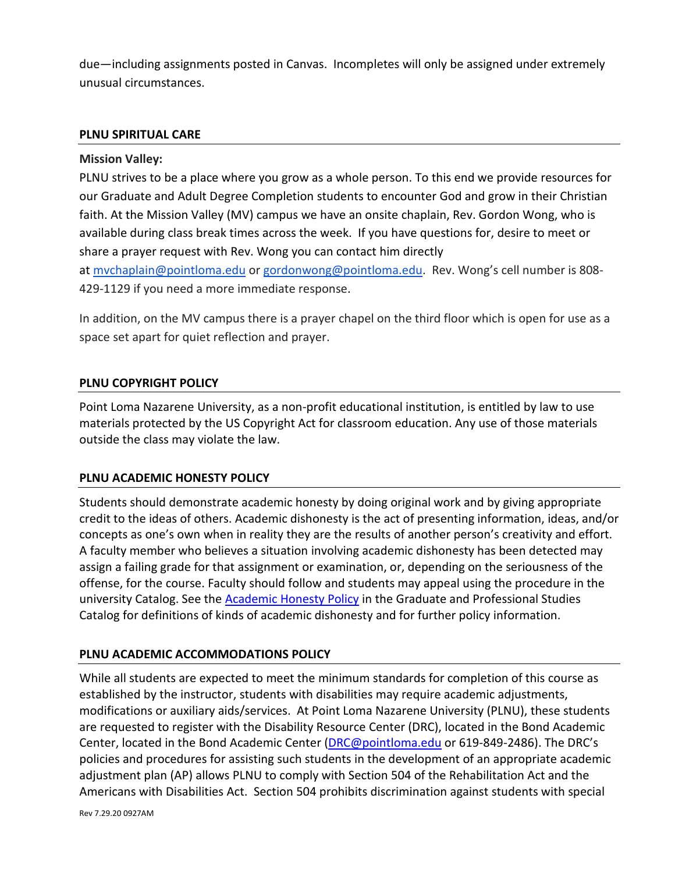due—including assignments posted in Canvas. Incompletes will only be assigned under extremely unusual circumstances.

#### **PLNU SPIRITUAL CARE**

#### **Mission Valley:**

PLNU strives to be a place where you grow as a whole person. To this end we provide resources for our Graduate and Adult Degree Completion students to encounter God and grow in their Christian faith. At the Mission Valley (MV) campus we have an onsite chaplain, Rev. Gordon Wong, who is available during class break times across the week. If you have questions for, desire to meet or share a prayer request with Rev. Wong you can contact him directly at [mvchaplain@pointloma.edu](mailto:mvchaplain@pointloma.edu) or [gordonwong@pointloma.edu.](mailto:gordonwong@pointloma.edu) Rev. Wong's cell number is 808- 429-1129 if you need a more immediate response.

In addition, on the MV campus there is a prayer chapel on the third floor which is open for use as a space set apart for quiet reflection and prayer.

#### **PLNU COPYRIGHT POLICY**

Point Loma Nazarene University, as a non-profit educational institution, is entitled by law to use materials protected by the US Copyright Act for classroom education. Any use of those materials outside the class may violate the law.

#### **PLNU ACADEMIC HONESTY POLICY**

Students should demonstrate academic honesty by doing original work and by giving appropriate credit to the ideas of others. Academic dishonesty is the act of presenting information, ideas, and/or concepts as one's own when in reality they are the results of another person's creativity and effort. A faculty member who believes a situation involving academic dishonesty has been detected may assign a failing grade for that assignment or examination, or, depending on the seriousness of the offense, for the course. Faculty should follow and students may appeal using the procedure in the university Catalog. See the [Academic Honesty Policy](https://catalog.pointloma.edu/content.php?catoid=48&navoid=2757#Academic_Honesty) in the Graduate and Professional Studies Catalog for definitions of kinds of academic dishonesty and for further policy information.

#### **PLNU ACADEMIC ACCOMMODATIONS POLICY**

While all students are expected to meet the minimum standards for completion of this course as established by the instructor, students with disabilities may require academic adjustments, modifications or auxiliary aids/services. At Point Loma Nazarene University (PLNU), these students are requested to register with the Disability Resource Center (DRC), located in the Bond Academic Center, located in the Bond Academic Center [\(DRC@pointloma.edu](mailto:DRC@pointloma.edu) or 619-849-2486). The DRC's policies and procedures for assisting such students in the development of an appropriate academic adjustment plan (AP) allows PLNU to comply with Section 504 of the Rehabilitation Act and the Americans with Disabilities Act. Section 504 prohibits discrimination against students with special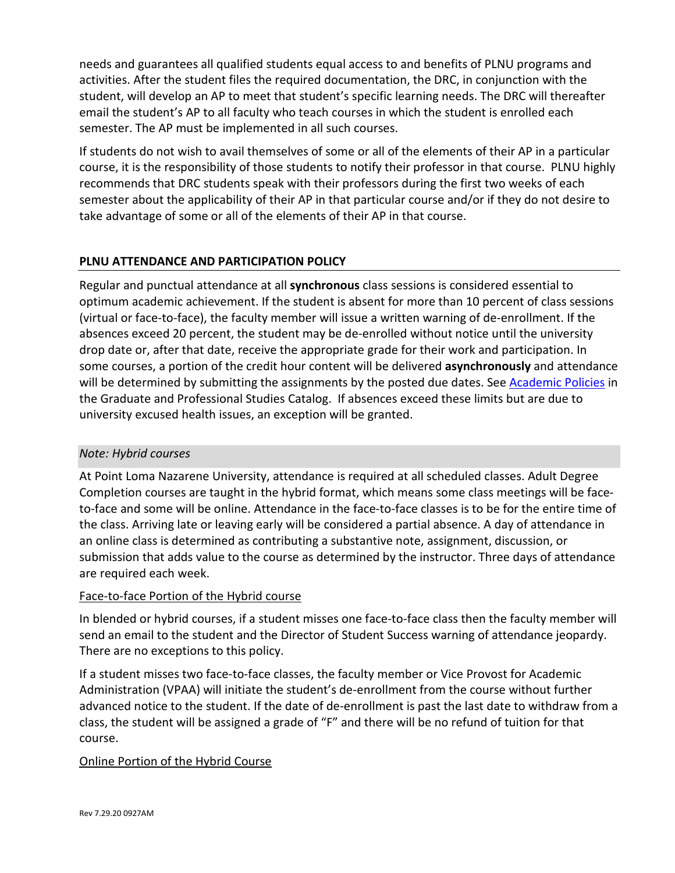needs and guarantees all qualified students equal access to and benefits of PLNU programs and activities. After the student files the required documentation, the DRC, in conjunction with the student, will develop an AP to meet that student's specific learning needs. The DRC will thereafter email the student's AP to all faculty who teach courses in which the student is enrolled each semester. The AP must be implemented in all such courses.

If students do not wish to avail themselves of some or all of the elements of their AP in a particular course, it is the responsibility of those students to notify their professor in that course. PLNU highly recommends that DRC students speak with their professors during the first two weeks of each semester about the applicability of their AP in that particular course and/or if they do not desire to take advantage of some or all of the elements of their AP in that course.

## **PLNU ATTENDANCE AND PARTICIPATION POLICY**

Regular and punctual attendance at all **synchronous** class sessions is considered essential to optimum academic achievement. If the student is absent for more than 10 percent of class sessions (virtual or face-to-face), the faculty member will issue a written warning of de-enrollment. If the absences exceed 20 percent, the student may be de-enrolled without notice until the university drop date or, after that date, receive the appropriate grade for their work and participation. In some courses, a portion of the credit hour content will be delivered **asynchronously** and attendance will be determined by submitting the assignments by the posted due dates. See [Academic Policies](https://catalog.pointloma.edu/content.php?catoid=48&navoid=2757#Class_Attendance) in the Graduate and Professional Studies Catalog. If absences exceed these limits but are due to university excused health issues, an exception will be granted.

## *Note: Hybrid courses*

At Point Loma Nazarene University, attendance is required at all scheduled classes. Adult Degree Completion courses are taught in the hybrid format, which means some class meetings will be faceto-face and some will be online. Attendance in the face-to-face classes is to be for the entire time of the class. Arriving late or leaving early will be considered a partial absence. A day of attendance in an online class is determined as contributing a substantive note, assignment, discussion, or submission that adds value to the course as determined by the instructor. Three days of attendance are required each week.

## Face-to-face Portion of the Hybrid course

In blended or hybrid courses, if a student misses one face-to-face class then the faculty member will send an email to the student and the Director of Student Success warning of attendance jeopardy. There are no exceptions to this policy.

If a student misses two face-to-face classes, the faculty member or Vice Provost for Academic Administration (VPAA) will initiate the student's de-enrollment from the course without further advanced notice to the student. If the date of de-enrollment is past the last date to withdraw from a class, the student will be assigned a grade of "F" and there will be no refund of tuition for that course.

## Online Portion of the Hybrid Course